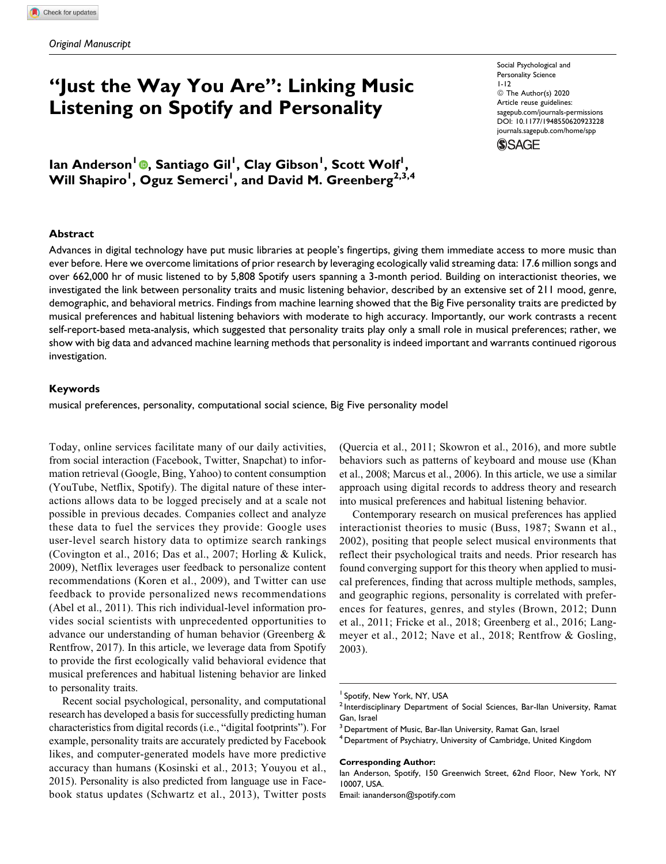# "Just the Way You Are": Linking Music Listening on Spotify and Personality

Ian Anderson<sup>1</sup> , Santiago Gil<sup>1</sup> , Clay Gibson<sup>1</sup> , Scott Wolf<sup>1</sup> , Will Shapiro<sup>1</sup>, Oguz Semerci<sup>1</sup>, and David M. Greenberg<sup>2,3,4</sup>

Social Psychological and Personality Science 1-12 © The Author(s) 2020 Article reuse guidelines: sagepub.com/journals-permissions DOI: 10.1177/1948550620923228 journals.sagepub.com/home/spp



#### Abstract

Advances in digital technology have put music libraries at people's fingertips, giving them immediate access to more music than ever before. Here we overcome limitations of prior research by leveraging ecologically valid streaming data: 17.6 million songs and over 662,000 hr of music listened to by 5,808 Spotify users spanning a 3-month period. Building on interactionist theories, we investigated the link between personality traits and music listening behavior, described by an extensive set of 211 mood, genre, demographic, and behavioral metrics. Findings from machine learning showed that the Big Five personality traits are predicted by musical preferences and habitual listening behaviors with moderate to high accuracy. Importantly, our work contrasts a recent self-report-based meta-analysis, which suggested that personality traits play only a small role in musical preferences; rather, we show with big data and advanced machine learning methods that personality is indeed important and warrants continued rigorous investigation.

#### Keywords

musical preferences, personality, computational social science, Big Five personality model

Today, online services facilitate many of our daily activities, from social interaction (Facebook, Twitter, Snapchat) to information retrieval (Google, Bing, Yahoo) to content consumption (YouTube, Netflix, Spotify). The digital nature of these interactions allows data to be logged precisely and at a scale not possible in previous decades. Companies collect and analyze these data to fuel the services they provide: Google uses user-level search history data to optimize search rankings (Covington et al., 2016; Das et al., 2007; Horling & Kulick, 2009), Netflix leverages user feedback to personalize content recommendations (Koren et al., 2009), and Twitter can use feedback to provide personalized news recommendations (Abel et al., 2011). This rich individual-level information provides social scientists with unprecedented opportunities to advance our understanding of human behavior (Greenberg & Rentfrow, 2017). In this article, we leverage data from Spotify to provide the first ecologically valid behavioral evidence that musical preferences and habitual listening behavior are linked to personality traits.

Recent social psychological, personality, and computational research has developed a basis for successfully predicting human characteristics from digital records (i.e., "digital footprints"). For example, personality traits are accurately predicted by Facebook likes, and computer-generated models have more predictive accuracy than humans (Kosinski et al., 2013; Youyou et al., 2015). Personality is also predicted from language use in Facebook status updates (Schwartz et al., 2013), Twitter posts (Quercia et al., 2011; Skowron et al., 2016), and more subtle behaviors such as patterns of keyboard and mouse use (Khan et al., 2008; Marcus et al., 2006). In this article, we use a similar approach using digital records to address theory and research into musical preferences and habitual listening behavior.

Contemporary research on musical preferences has applied interactionist theories to music (Buss, 1987; Swann et al., 2002), positing that people select musical environments that reflect their psychological traits and needs. Prior research has found converging support for this theory when applied to musical preferences, finding that across multiple methods, samples, and geographic regions, personality is correlated with preferences for features, genres, and styles (Brown, 2012; Dunn et al., 2011; Fricke et al., 2018; Greenberg et al., 2016; Langmeyer et al., 2012; Nave et al., 2018; Rentfrow & Gosling, 2003).

#### Corresponding Author:

Email: iananderson@spotify.com

<sup>&</sup>lt;sup>1</sup> Spotify, New York, NY, USA

<sup>&</sup>lt;sup>2</sup> Interdisciplinary Department of Social Sciences, Bar-Ilan University, Ramat Gan, Israel

<sup>&</sup>lt;sup>3</sup> Department of Music, Bar-Ilan University, Ramat Gan, Israel

<sup>&</sup>lt;sup>4</sup> Department of Psychiatry, University of Cambridge, United Kingdom

Ian Anderson, Spotify, 150 Greenwich Street, 62nd Floor, New York, NY 10007, USA.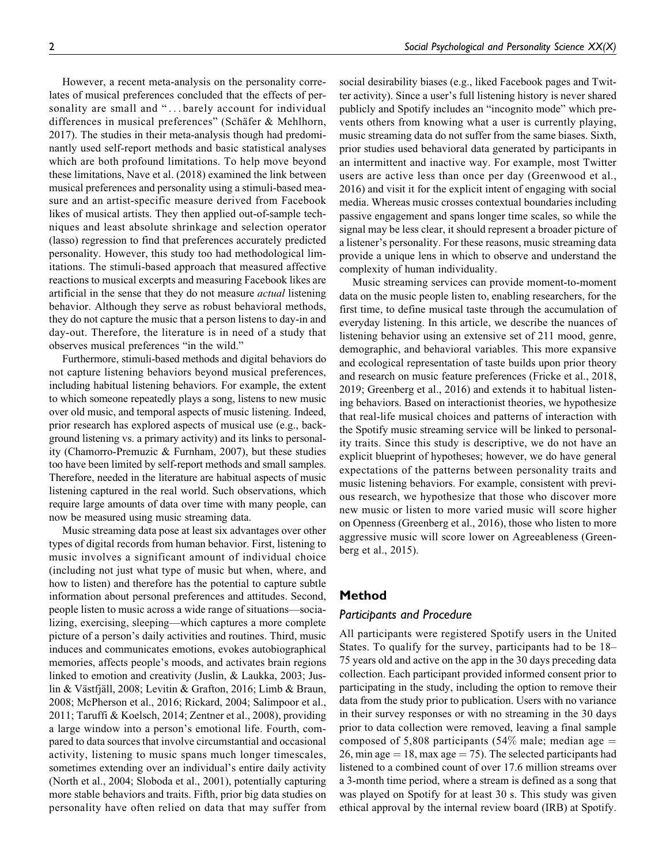However, a recent meta-analysis on the personality correlates of musical preferences concluded that the effects of personality are small and "...barely account for individual differences in musical preferences" (Schäfer & Mehlhorn, 2017). The studies in their meta-analysis though had predominantly used self-report methods and basic statistical analyses which are both profound limitations. To help move beyond these limitations, Nave et al. (2018) examined the link between musical preferences and personality using a stimuli-based measure and an artist-specific measure derived from Facebook likes of musical artists. They then applied out-of-sample techniques and least absolute shrinkage and selection operator (lasso) regression to find that preferences accurately predicted personality. However, this study too had methodological limitations. The stimuli-based approach that measured affective reactions to musical excerpts and measuring Facebook likes are artificial in the sense that they do not measure *actual* listening behavior. Although they serve as robust behavioral methods, they do not capture the music that a person listens to day-in and day-out. Therefore, the literature is in need of a study that observes musical preferences "in the wild."

Furthermore, stimuli-based methods and digital behaviors do not capture listening behaviors beyond musical preferences, including habitual listening behaviors. For example, the extent to which someone repeatedly plays a song, listens to new music over old music, and temporal aspects of music listening. Indeed, prior research has explored aspects of musical use (e.g., background listening vs. a primary activity) and its links to personality (Chamorro-Premuzic & Furnham, 2007), but these studies too have been limited by self-report methods and small samples. Therefore, needed in the literature are habitual aspects of music listening captured in the real world. Such observations, which require large amounts of data over time with many people, can now be measured using music streaming data.

Music streaming data pose at least six advantages over other types of digital records from human behavior. First, listening to music involves a significant amount of individual choice (including not just what type of music but when, where, and how to listen) and therefore has the potential to capture subtle information about personal preferences and attitudes. Second, people listen to music across a wide range of situations—socializing, exercising, sleeping—which captures a more complete picture of a person's daily activities and routines. Third, music induces and communicates emotions, evokes autobiographical memories, affects people's moods, and activates brain regions linked to emotion and creativity (Juslin, & Laukka, 2003; Juslin & Västfjäll, 2008; Levitin & Grafton, 2016; Limb & Braun, 2008; McPherson et al., 2016; Rickard, 2004; Salimpoor et al., 2011; Taruffi & Koelsch, 2014; Zentner et al., 2008), providing a large window into a person's emotional life. Fourth, compared to data sources that involve circumstantial and occasional activity, listening to music spans much longer timescales, sometimes extending over an individual's entire daily activity (North et al., 2004; Sloboda et al., 2001), potentially capturing more stable behaviors and traits. Fifth, prior big data studies on personality have often relied on data that may suffer from

social desirability biases (e.g., liked Facebook pages and Twitter activity). Since a user's full listening history is never shared publicly and Spotify includes an "incognito mode" which prevents others from knowing what a user is currently playing, music streaming data do not suffer from the same biases. Sixth, prior studies used behavioral data generated by participants in an intermittent and inactive way. For example, most Twitter users are active less than once per day (Greenwood et al., 2016) and visit it for the explicit intent of engaging with social media. Whereas music crosses contextual boundaries including passive engagement and spans longer time scales, so while the signal may be less clear, it should represent a broader picture of a listener's personality. For these reasons, music streaming data provide a unique lens in which to observe and understand the complexity of human individuality.

Music streaming services can provide moment-to-moment data on the music people listen to, enabling researchers, for the first time, to define musical taste through the accumulation of everyday listening. In this article, we describe the nuances of listening behavior using an extensive set of 211 mood, genre, demographic, and behavioral variables. This more expansive and ecological representation of taste builds upon prior theory and research on music feature preferences (Fricke et al., 2018, 2019; Greenberg et al., 2016) and extends it to habitual listening behaviors. Based on interactionist theories, we hypothesize that real-life musical choices and patterns of interaction with the Spotify music streaming service will be linked to personality traits. Since this study is descriptive, we do not have an explicit blueprint of hypotheses; however, we do have general expectations of the patterns between personality traits and music listening behaviors. For example, consistent with previous research, we hypothesize that those who discover more new music or listen to more varied music will score higher on Openness (Greenberg et al., 2016), those who listen to more aggressive music will score lower on Agreeableness (Greenberg et al., 2015).

# Method

# Participants and Procedure

All participants were registered Spotify users in the United States. To qualify for the survey, participants had to be 18– 75 years old and active on the app in the 30 days preceding data collection. Each participant provided informed consent prior to participating in the study, including the option to remove their data from the study prior to publication. Users with no variance in their survey responses or with no streaming in the 30 days prior to data collection were removed, leaving a final sample composed of 5,808 participants (54% male; median age  $=$ 26, min age  $= 18$ , max age  $= 75$ ). The selected participants had listened to a combined count of over 17.6 million streams over a 3-month time period, where a stream is defined as a song that was played on Spotify for at least 30 s. This study was given ethical approval by the internal review board (IRB) at Spotify.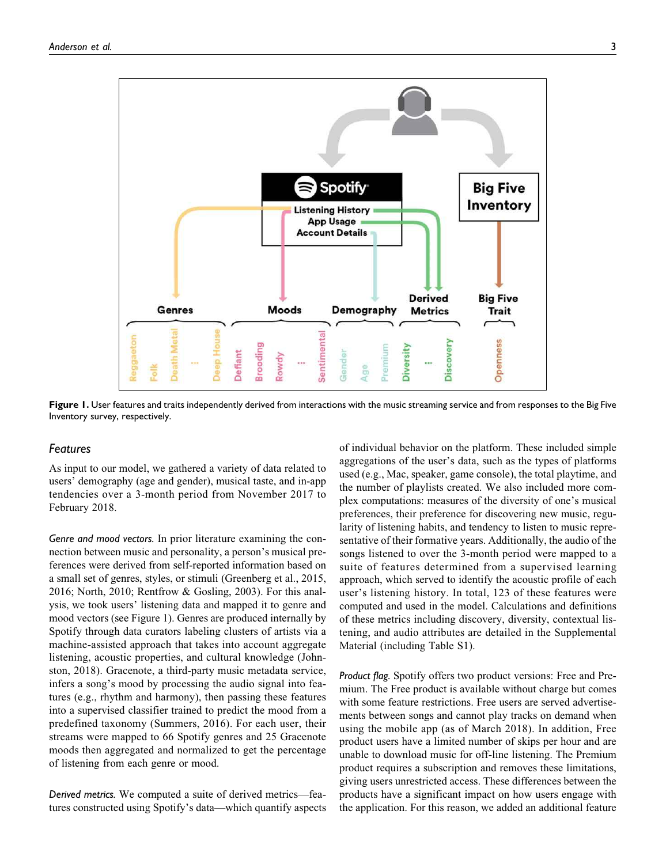

Figure 1. User features and traits independently derived from interactions with the music streaming service and from responses to the Big Five Inventory survey, respectively.

#### Features

As input to our model, we gathered a variety of data related to users' demography (age and gender), musical taste, and in-app tendencies over a 3-month period from November 2017 to February 2018.

Genre and mood vectors. In prior literature examining the connection between music and personality, a person's musical preferences were derived from self-reported information based on a small set of genres, styles, or stimuli (Greenberg et al., 2015, 2016; North, 2010; Rentfrow & Gosling, 2003). For this analysis, we took users' listening data and mapped it to genre and mood vectors (see Figure 1). Genres are produced internally by Spotify through data curators labeling clusters of artists via a machine-assisted approach that takes into account aggregate listening, acoustic properties, and cultural knowledge (Johnston, 2018). Gracenote, a third-party music metadata service, infers a song's mood by processing the audio signal into features (e.g., rhythm and harmony), then passing these features into a supervised classifier trained to predict the mood from a predefined taxonomy (Summers, 2016). For each user, their streams were mapped to 66 Spotify genres and 25 Gracenote moods then aggregated and normalized to get the percentage of listening from each genre or mood.

Derived metrics. We computed a suite of derived metrics—features constructed using Spotify's data—which quantify aspects of individual behavior on the platform. These included simple aggregations of the user's data, such as the types of platforms used (e.g., Mac, speaker, game console), the total playtime, and the number of playlists created. We also included more complex computations: measures of the diversity of one's musical preferences, their preference for discovering new music, regularity of listening habits, and tendency to listen to music representative of their formative years. Additionally, the audio of the songs listened to over the 3-month period were mapped to a suite of features determined from a supervised learning approach, which served to identify the acoustic profile of each user's listening history. In total, 123 of these features were computed and used in the model. Calculations and definitions of these metrics including discovery, diversity, contextual listening, and audio attributes are detailed in the Supplemental Material (including Table S1).

Product flag. Spotify offers two product versions: Free and Premium. The Free product is available without charge but comes with some feature restrictions. Free users are served advertisements between songs and cannot play tracks on demand when using the mobile app (as of March 2018). In addition, Free product users have a limited number of skips per hour and are unable to download music for off-line listening. The Premium product requires a subscription and removes these limitations, giving users unrestricted access. These differences between the products have a significant impact on how users engage with the application. For this reason, we added an additional feature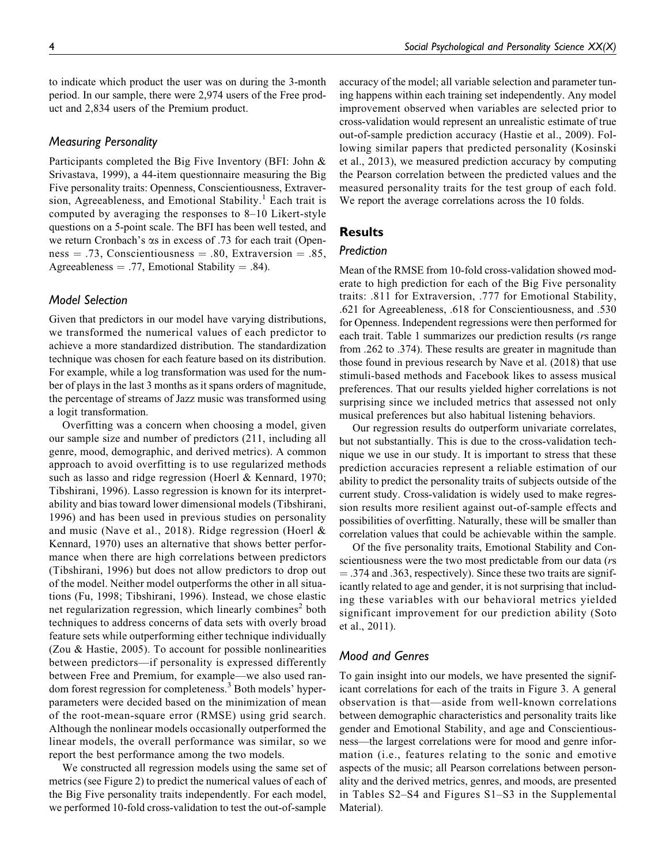to indicate which product the user was on during the 3-month period. In our sample, there were 2,974 users of the Free product and 2,834 users of the Premium product.

### Measuring Personality

Participants completed the Big Five Inventory (BFI: John & Srivastava, 1999), a 44-item questionnaire measuring the Big Five personality traits: Openness, Conscientiousness, Extraversion, Agreeableness, and Emotional Stability.<sup>1</sup> Each trait is computed by averaging the responses to 8–10 Likert-style questions on a 5-point scale. The BFI has been well tested, and we return Cronbach's  $\alpha$ s in excess of .73 for each trait (Openness  $= .73$ , Conscientiousness  $= .80$ , Extraversion  $= .85$ , Agreeableness  $= .77$ , Emotional Stability  $= .84$ ).

# Model Selection

Given that predictors in our model have varying distributions, we transformed the numerical values of each predictor to achieve a more standardized distribution. The standardization technique was chosen for each feature based on its distribution. For example, while a log transformation was used for the number of plays in the last 3 months as it spans orders of magnitude, the percentage of streams of Jazz music was transformed using a logit transformation.

Overfitting was a concern when choosing a model, given our sample size and number of predictors (211, including all genre, mood, demographic, and derived metrics). A common approach to avoid overfitting is to use regularized methods such as lasso and ridge regression (Hoerl & Kennard, 1970; Tibshirani, 1996). Lasso regression is known for its interpretability and bias toward lower dimensional models (Tibshirani, 1996) and has been used in previous studies on personality and music (Nave et al., 2018). Ridge regression (Hoerl & Kennard, 1970) uses an alternative that shows better performance when there are high correlations between predictors (Tibshirani, 1996) but does not allow predictors to drop out of the model. Neither model outperforms the other in all situations (Fu, 1998; Tibshirani, 1996). Instead, we chose elastic net regularization regression, which linearly combines<sup>2</sup> both techniques to address concerns of data sets with overly broad feature sets while outperforming either technique individually (Zou & Hastie, 2005). To account for possible nonlinearities between predictors—if personality is expressed differently between Free and Premium, for example—we also used random forest regression for completeness.<sup>3</sup> Both models' hyperparameters were decided based on the minimization of mean of the root-mean-square error (RMSE) using grid search. Although the nonlinear models occasionally outperformed the linear models, the overall performance was similar, so we report the best performance among the two models.

We constructed all regression models using the same set of metrics (see Figure 2) to predict the numerical values of each of the Big Five personality traits independently. For each model, we performed 10-fold cross-validation to test the out-of-sample

accuracy of the model; all variable selection and parameter tuning happens within each training set independently. Any model improvement observed when variables are selected prior to cross-validation would represent an unrealistic estimate of true out-of-sample prediction accuracy (Hastie et al., 2009). Following similar papers that predicted personality (Kosinski et al., 2013), we measured prediction accuracy by computing the Pearson correlation between the predicted values and the measured personality traits for the test group of each fold. We report the average correlations across the 10 folds.

# Results

# Prediction

Mean of the RMSE from 10-fold cross-validation showed moderate to high prediction for each of the Big Five personality traits: .811 for Extraversion, .777 for Emotional Stability, .621 for Agreeableness, .618 for Conscientiousness, and .530 for Openness. Independent regressions were then performed for each trait. Table 1 summarizes our prediction results (*rs* range from .262 to .374). These results are greater in magnitude than those found in previous research by Nave et al. (2018) that use stimuli-based methods and Facebook likes to assess musical preferences. That our results yielded higher correlations is not surprising since we included metrics that assessed not only musical preferences but also habitual listening behaviors.

Our regression results do outperform univariate correlates, but not substantially. This is due to the cross-validation technique we use in our study. It is important to stress that these prediction accuracies represent a reliable estimation of our ability to predict the personality traits of subjects outside of the current study. Cross-validation is widely used to make regression results more resilient against out-of-sample effects and possibilities of overfitting. Naturally, these will be smaller than correlation values that could be achievable within the sample.

Of the five personality traits, Emotional Stability and Conscientiousness were the two most predictable from our data (rs  $=$  .374 and .363, respectively). Since these two traits are significantly related to age and gender, it is not surprising that including these variables with our behavioral metrics yielded significant improvement for our prediction ability (Soto et al., 2011).

## Mood and Genres

To gain insight into our models, we have presented the significant correlations for each of the traits in Figure 3. A general observation is that—aside from well-known correlations between demographic characteristics and personality traits like gender and Emotional Stability, and age and Conscientiousness—the largest correlations were for mood and genre information (i.e., features relating to the sonic and emotive aspects of the music; all Pearson correlations between personality and the derived metrics, genres, and moods, are presented in Tables S2–S4 and Figures S1–S3 in the Supplemental Material).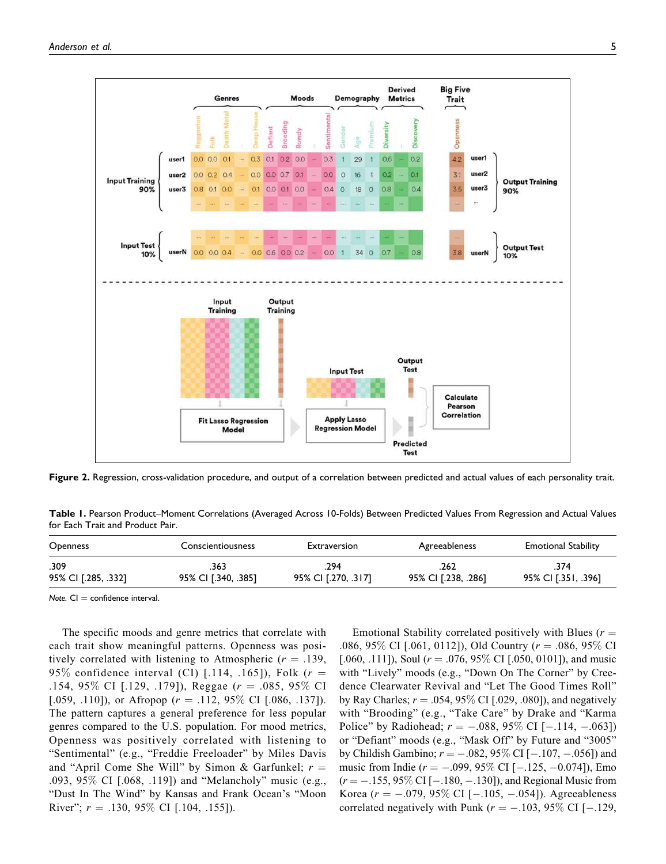

Figure 2. Regression, cross-validation procedure, and output of a correlation between predicted and actual values of each personality trait.

Table 1. Pearson Product–Moment Correlations (Averaged Across 10-Folds) Between Predicted Values From Regression and Actual Values for Each Trait and Product Pair.

| Openness            | Conscientiousness   | Extraversion        | Agreeableness       | <b>Emotional Stability</b> |
|---------------------|---------------------|---------------------|---------------------|----------------------------|
| .309                | .363                | 294                 | 262                 | 374                        |
| 95% CI [.285, .332] | 95% CI [.340, .385] | 95% CI [.270, .317] | 95% CI [.238, .286] | 95% CI [.351, .396]        |

Note.  $CI =$  confidence interval.

The specific moods and genre metrics that correlate with each trait show meaningful patterns. Openness was positively correlated with listening to Atmospheric ( $r = .139$ , 95% confidence interval (CI) [.114, .165]), Folk  $(r =$ .154, 95% CI [.129, .179]), Reggae  $(r = .085, 95\%$  CI [.059, .110]), or Afropop ( $r = .112, 95\%$  CI [.086, .137]). The pattern captures a general preference for less popular genres compared to the U.S. population. For mood metrics, Openness was positively correlated with listening to "Sentimental" (e.g., "Freddie Freeloader" by Miles Davis and "April Come She Will" by Simon & Garfunkel;  $r =$ .093, 95% CI [.068, .119]) and "Melancholy" music (e.g., "Dust In The Wind" by Kansas and Frank Ocean's "Moon River";  $r = .130, 95\%$  CI [.104, .155]).

Emotional Stability correlated positively with Blues  $(r =$ .086, 95\% CI [.061, 0112]), Old Country ( $r = .086$ , 95\% CI [.060, .111]), Soul ( $r = .076, 95\%$  CI [.050, 0101]), and music with "Lively" moods (e.g., "Down On The Corner" by Creedence Clearwater Revival and "Let The Good Times Roll" by Ray Charles;  $r = .054, 95\%$  CI [.029, .080]), and negatively with "Brooding" (e.g., "Take Care" by Drake and "Karma Police" by Radiohead;  $r = -.088, 95\%$  CI [ $-.114, -.063$ ]) or "Defiant" moods (e.g., "Mask Off" by Future and "3005" by Childish Gambino;  $r = -.082, 95\%$  CI [ $-.107, -.056$ ]) and music from Indie  $(r = -.099, 95\% \text{ CI} [-.125, -0.074])$ , Emo  $(r = -.155, 95\% \text{ CI} [-.180, -.130])$ , and Regional Music from Korea ( $r = -.079, 95\%$  CI [ $-.105, -.054$ ]). Agreeableness correlated negatively with Punk ( $r = -.103, 95\%$  CI [-.129,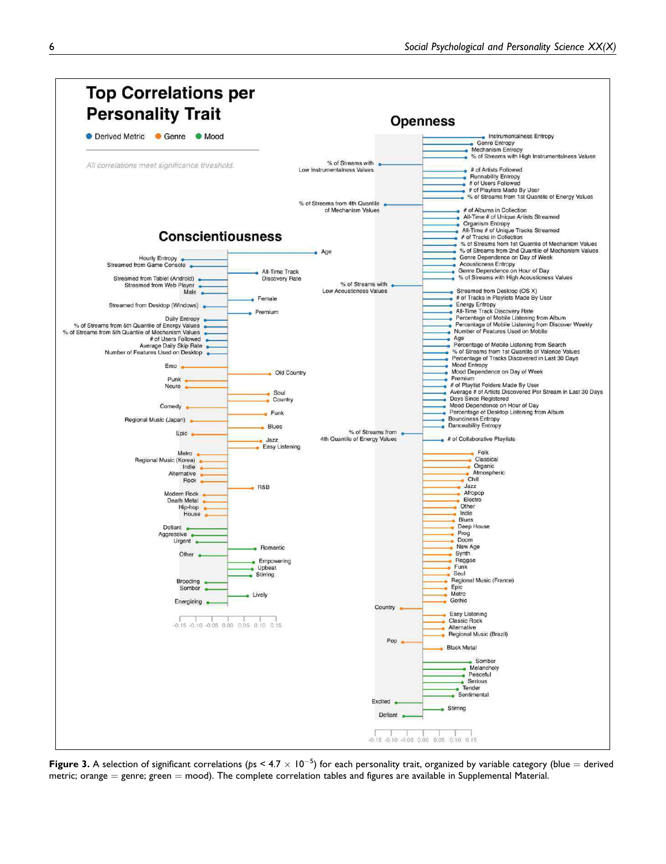

**Figure 3.** A selection of significant correlations (ps < 4.7  $\times$  10<sup>-5</sup>) for each personality trait, organized by variable category (blue = derived metric; orange  $=$  genre; green  $=$  mood). The complete correlation tables and figures are available in Supplemental Material.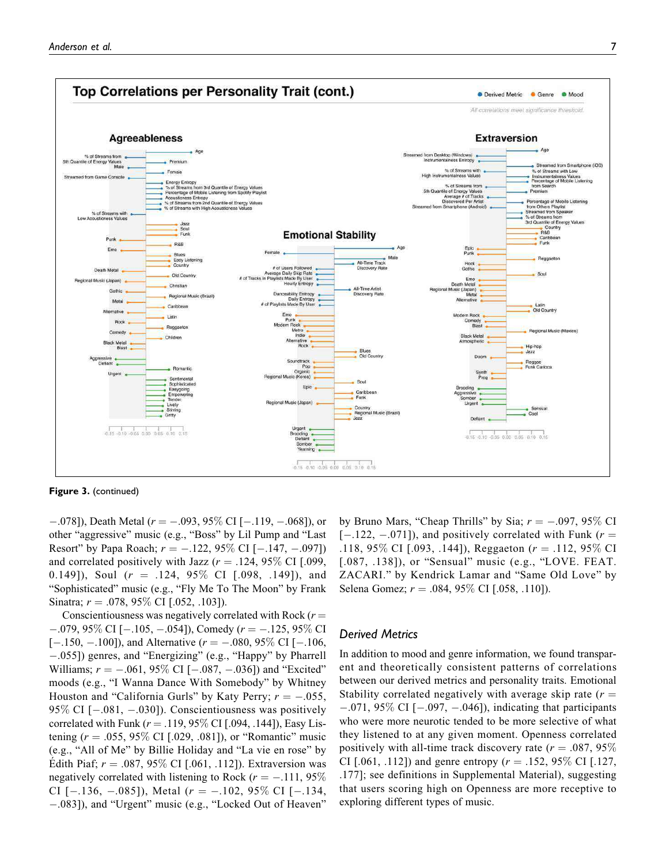

Figure 3. (continued)

 $-.078$ ]), Death Metal ( $r = -.093, 95\%$  CI [ $-.119, -.068$ ]), or other "aggressive" music (e.g., "Boss" by Lil Pump and "Last Resort" by Papa Roach;  $r = -.122, 95\%$  CI  $[-.147, -.097]$ ) and correlated positively with Jazz ( $r = .124, 95\%$  CI [.099, 0.149]), Soul  $(r = .124, 95\% \text{ CI}$  [.098, .149]), and "Sophisticated" music (e.g., "Fly Me To The Moon" by Frank Sinatra;  $r = .078, 95\%$  CI [.052, .103]).

Conscientiousness was negatively correlated with Rock  $(r =$  $-.079,95\%$  CI [ $-.105, -.054$ ]), Comedy ( $r = -.125,95\%$  CI  $[-.150, -.100]$ ), and Alternative ( $r = -.080, 95\%$  CI [-.106, -.055]) genres, and "Energizing" (e.g., "Happy" by Pharrell Williams;  $r = -.061, 95\%$  CI  $[-.087, -.036]$  and "Excited" moods (e.g., "I Wanna Dance With Somebody" by Whitney Houston and "California Gurls" by Katy Perry;  $r = -.055$ , 95% CI [-.081, -.030]). Conscientiousness was positively correlated with Funk ( $r = .119, 95\%$  CI [.094, .144]), Easy Listening ( $r = .055, 95\%$  CI [.029, .081]), or "Romantic" music (e.g., "All of Me" by Billie Holiday and "La vie en rose" by Edith Piaf;  $r = .087, 95\%$  CI [.061, .112]). Extraversion was negatively correlated with listening to Rock ( $r = -.111, 95\%$ CI  $[-.136, -.085]$ , Metal  $(r = -.102, 95\%$  CI  $[-.134,$ -.083]), and "Urgent" music (e.g., "Locked Out of Heaven"

by Bruno Mars, "Cheap Thrills" by Sia;  $r = -.097, 95\%$  CI  $[-.122, -0.071]$ , and positively correlated with Funk ( $r =$ .118, 95% CI [.093, .144]), Reggaeton ( $r = .112$ , 95% CI [.087, .138]), or "Sensual" music (e.g., "LOVE. FEAT. ZACARI." by Kendrick Lamar and "Same Old Love" by Selena Gomez;  $r = .084, 95\%$  CI [.058, .110]).

## Derived Metrics

In addition to mood and genre information, we found transparent and theoretically consistent patterns of correlations between our derived metrics and personality traits. Emotional Stability correlated negatively with average skip rate  $(r =$  $-.071, 95\%$  CI  $[-.097, -.046]$ ), indicating that participants who were more neurotic tended to be more selective of what they listened to at any given moment. Openness correlated positively with all-time track discovery rate ( $r = .087, 95\%$ ) CI [.061, .112]) and genre entropy ( $r = .152, 95\%$  CI [.127, .177]; see definitions in Supplemental Material), suggesting that users scoring high on Openness are more receptive to exploring different types of music.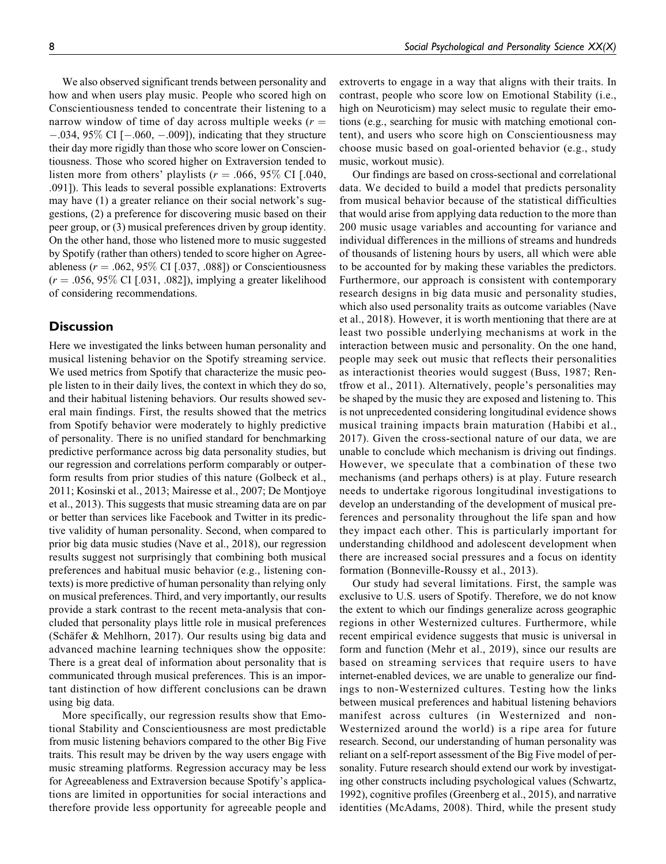We also observed significant trends between personality and how and when users play music. People who scored high on Conscientiousness tended to concentrate their listening to a narrow window of time of day across multiple weeks ( $r =$  $-.034, 95\%$  CI  $[-.060, -.009]$ ), indicating that they structure their day more rigidly than those who score lower on Conscientiousness. Those who scored higher on Extraversion tended to listen more from others' playlists ( $r = .066, 95\%$  CI [.040, .091]). This leads to several possible explanations: Extroverts may have (1) a greater reliance on their social network's suggestions, (2) a preference for discovering music based on their peer group, or (3) musical preferences driven by group identity. On the other hand, those who listened more to music suggested by Spotify (rather than others) tended to score higher on Agreeableness ( $r = .062, 95\%$  CI [.037, .088]) or Conscientiousness  $(r = .056, 95\% \text{ CI}$  [.031, .082]), implying a greater likelihood of considering recommendations.

# **Discussion**

Here we investigated the links between human personality and musical listening behavior on the Spotify streaming service. We used metrics from Spotify that characterize the music people listen to in their daily lives, the context in which they do so, and their habitual listening behaviors. Our results showed several main findings. First, the results showed that the metrics from Spotify behavior were moderately to highly predictive of personality. There is no unified standard for benchmarking predictive performance across big data personality studies, but our regression and correlations perform comparably or outperform results from prior studies of this nature (Golbeck et al., 2011; Kosinski et al., 2013; Mairesse et al., 2007; De Montjoye et al., 2013). This suggests that music streaming data are on par or better than services like Facebook and Twitter in its predictive validity of human personality. Second, when compared to prior big data music studies (Nave et al., 2018), our regression results suggest not surprisingly that combining both musical preferences and habitual music behavior (e.g., listening contexts) is more predictive of human personality than relying only on musical preferences. Third, and very importantly, our results provide a stark contrast to the recent meta-analysis that concluded that personality plays little role in musical preferences (Schäfer & Mehlhorn, 2017). Our results using big data and advanced machine learning techniques show the opposite: There is a great deal of information about personality that is communicated through musical preferences. This is an important distinction of how different conclusions can be drawn using big data.

More specifically, our regression results show that Emotional Stability and Conscientiousness are most predictable from music listening behaviors compared to the other Big Five traits. This result may be driven by the way users engage with music streaming platforms. Regression accuracy may be less for Agreeableness and Extraversion because Spotify's applications are limited in opportunities for social interactions and therefore provide less opportunity for agreeable people and

extroverts to engage in a way that aligns with their traits. In contrast, people who score low on Emotional Stability (i.e., high on Neuroticism) may select music to regulate their emotions (e.g., searching for music with matching emotional content), and users who score high on Conscientiousness may choose music based on goal-oriented behavior (e.g., study music, workout music).

Our findings are based on cross-sectional and correlational data. We decided to build a model that predicts personality from musical behavior because of the statistical difficulties that would arise from applying data reduction to the more than 200 music usage variables and accounting for variance and individual differences in the millions of streams and hundreds of thousands of listening hours by users, all which were able to be accounted for by making these variables the predictors. Furthermore, our approach is consistent with contemporary research designs in big data music and personality studies, which also used personality traits as outcome variables (Nave et al., 2018). However, it is worth mentioning that there are at least two possible underlying mechanisms at work in the interaction between music and personality. On the one hand, people may seek out music that reflects their personalities as interactionist theories would suggest (Buss, 1987; Rentfrow et al., 2011). Alternatively, people's personalities may be shaped by the music they are exposed and listening to. This is not unprecedented considering longitudinal evidence shows musical training impacts brain maturation (Habibi et al., 2017). Given the cross-sectional nature of our data, we are unable to conclude which mechanism is driving out findings. However, we speculate that a combination of these two mechanisms (and perhaps others) is at play. Future research needs to undertake rigorous longitudinal investigations to develop an understanding of the development of musical preferences and personality throughout the life span and how they impact each other. This is particularly important for understanding childhood and adolescent development when there are increased social pressures and a focus on identity formation (Bonneville-Roussy et al., 2013).

Our study had several limitations. First, the sample was exclusive to U.S. users of Spotify. Therefore, we do not know the extent to which our findings generalize across geographic regions in other Westernized cultures. Furthermore, while recent empirical evidence suggests that music is universal in form and function (Mehr et al., 2019), since our results are based on streaming services that require users to have internet-enabled devices, we are unable to generalize our findings to non-Westernized cultures. Testing how the links between musical preferences and habitual listening behaviors manifest across cultures (in Westernized and non-Westernized around the world) is a ripe area for future research. Second, our understanding of human personality was reliant on a self-report assessment of the Big Five model of personality. Future research should extend our work by investigating other constructs including psychological values (Schwartz, 1992), cognitive profiles (Greenberg et al., 2015), and narrative identities (McAdams, 2008). Third, while the present study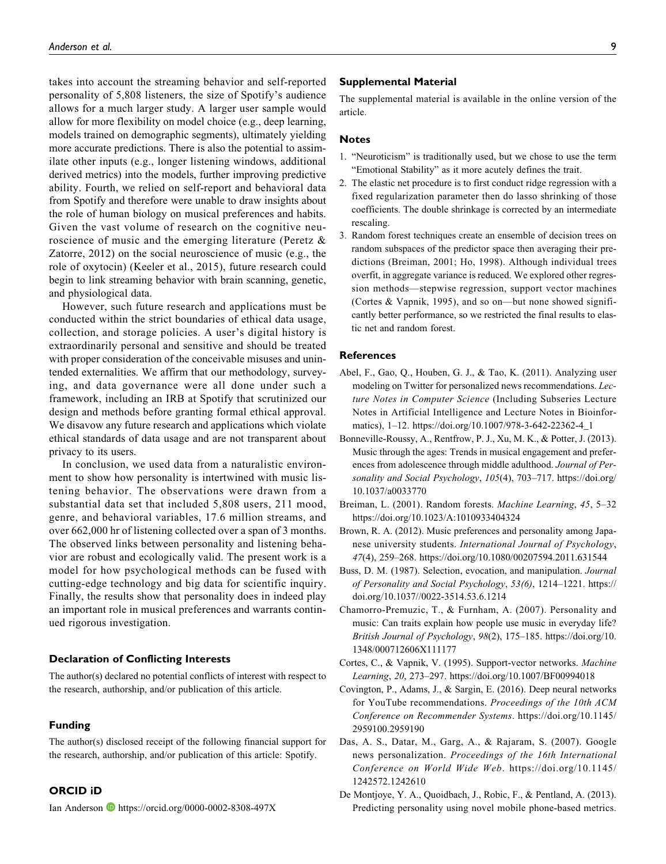takes into account the streaming behavior and self-reported personality of 5,808 listeners, the size of Spotify's audience allows for a much larger study. A larger user sample would allow for more flexibility on model choice (e.g., deep learning, models trained on demographic segments), ultimately yielding more accurate predictions. There is also the potential to assimilate other inputs (e.g., longer listening windows, additional derived metrics) into the models, further improving predictive ability. Fourth, we relied on self-report and behavioral data from Spotify and therefore were unable to draw insights about the role of human biology on musical preferences and habits. Given the vast volume of research on the cognitive neuroscience of music and the emerging literature (Peretz & Zatorre, 2012) on the social neuroscience of music (e.g., the role of oxytocin) (Keeler et al., 2015), future research could begin to link streaming behavior with brain scanning, genetic, and physiological data.

However, such future research and applications must be conducted within the strict boundaries of ethical data usage, collection, and storage policies. A user's digital history is extraordinarily personal and sensitive and should be treated with proper consideration of the conceivable misuses and unintended externalities. We affirm that our methodology, surveying, and data governance were all done under such a framework, including an IRB at Spotify that scrutinized our design and methods before granting formal ethical approval. We disavow any future research and applications which violate ethical standards of data usage and are not transparent about privacy to its users.

In conclusion, we used data from a naturalistic environment to show how personality is intertwined with music listening behavior. The observations were drawn from a substantial data set that included 5,808 users, 211 mood, genre, and behavioral variables, 17.6 million streams, and over 662,000 hr of listening collected over a span of 3 months. The observed links between personality and listening behavior are robust and ecologically valid. The present work is a model for how psychological methods can be fused with cutting-edge technology and big data for scientific inquiry. Finally, the results show that personality does in indeed play an important role in musical preferences and warrants continued rigorous investigation.

## Declaration of Conflicting Interests

The author(s) declared no potential conflicts of interest with respect to the research, authorship, and/or publication of this article.

### Funding

The author(s) disclosed receipt of the following financial support for the research, authorship, and/or publication of this article: Spotify.

## ORCID iD

Ian Anderson  $\bullet$  https://orcid.org/0000-0002-8308-497X

#### Supplemental Material

The supplemental material is available in the online version of the article.

#### Notes

- 1. "Neuroticism" is traditionally used, but we chose to use the term "Emotional Stability" as it more acutely defines the trait.
- 2. The elastic net procedure is to first conduct ridge regression with a fixed regularization parameter then do lasso shrinking of those coefficients. The double shrinkage is corrected by an intermediate rescaling.
- 3. Random forest techniques create an ensemble of decision trees on random subspaces of the predictor space then averaging their predictions (Breiman, 2001; Ho, 1998). Although individual trees overfit, in aggregate variance is reduced. We explored other regression methods—stepwise regression, support vector machines (Cortes & Vapnik, 1995), and so on—but none showed significantly better performance, so we restricted the final results to elastic net and random forest.

#### **References**

- Abel, F., Gao, Q., Houben, G. J., & Tao, K. (2011). Analyzing user modeling on Twitter for personalized news recommendations. Lecture Notes in Computer Science (Including Subseries Lecture Notes in Artificial Intelligence and Lecture Notes in Bioinformatics), 1–12. https://doi.org/10.1007/978-3-642-22362-4\_1
- Bonneville-Roussy, A., Rentfrow, P. J., Xu, M. K., & Potter, J. (2013). Music through the ages: Trends in musical engagement and preferences from adolescence through middle adulthood. Journal of Personality and Social Psychology, 105(4), 703-717. https://doi.org/ 10.1037/a0033770
- Breiman, L. (2001). Random forests. Machine Learning, 45, 5–32 https://doi.org/10.1023/A:1010933404324
- Brown, R. A. (2012). Music preferences and personality among Japanese university students. International Journal of Psychology, 47(4), 259–268. https://doi.org/10.1080/00207594.2011.631544
- Buss, D. M. (1987). Selection, evocation, and manipulation. Journal of Personality and Social Psychology, 53(6), 1214–1221. https:// doi.org/10.1037//0022-3514.53.6.1214
- Chamorro-Premuzic, T., & Furnham, A. (2007). Personality and music: Can traits explain how people use music in everyday life? British Journal of Psychology, 98(2), 175–185. https://doi.org/10. 1348/000712606X111177
- Cortes, C., & Vapnik, V. (1995). Support-vector networks. Machine Learning, 20, 273–297. https://doi.org/10.1007/BF00994018
- Covington, P., Adams, J., & Sargin, E. (2016). Deep neural networks for YouTube recommendations. Proceedings of the 10th ACM Conference on Recommender Systems. https://doi.org/10.1145/ 2959100.2959190
- Das, A. S., Datar, M., Garg, A., & Rajaram, S. (2007). Google news personalization. Proceedings of the 16th International Conference on World Wide Web. https://doi.org/10.1145/ 1242572.1242610
- De Montjoye, Y. A., Quoidbach, J., Robic, F., & Pentland, A. (2013). Predicting personality using novel mobile phone-based metrics.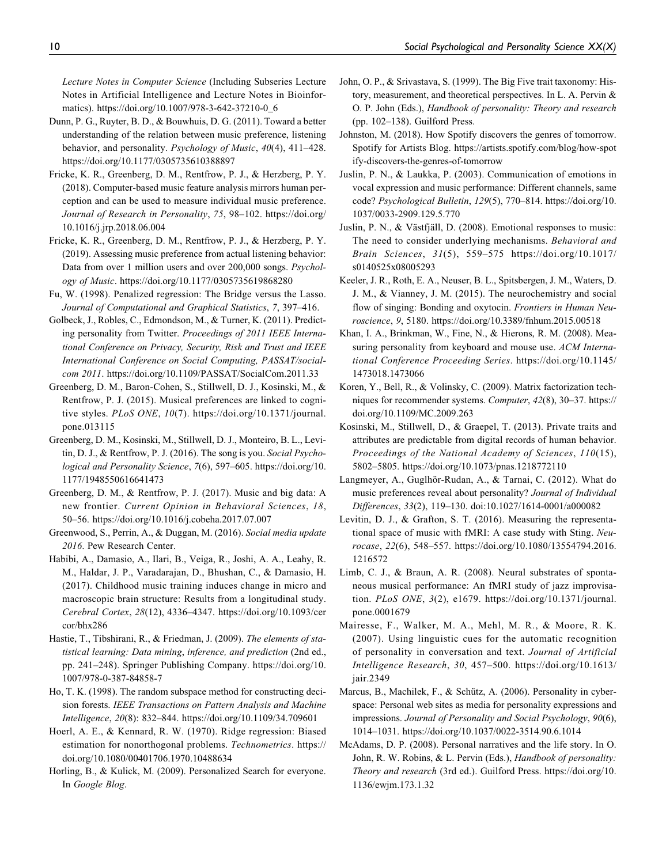Lecture Notes in Computer Science (Including Subseries Lecture Notes in Artificial Intelligence and Lecture Notes in Bioinformatics). https://doi.org/10.1007/978-3-642-37210-0\_6

- Dunn, P. G., Ruyter, B. D., & Bouwhuis, D. G. (2011). Toward a better understanding of the relation between music preference, listening behavior, and personality. Psychology of Music, 40(4), 411-428. https://doi.org/10.1177/0305735610388897
- Fricke, K. R., Greenberg, D. M., Rentfrow, P. J., & Herzberg, P. Y. (2018). Computer-based music feature analysis mirrors human perception and can be used to measure individual music preference. Journal of Research in Personality, 75, 98–102. https://doi.org/ 10.1016/j.jrp.2018.06.004
- Fricke, K. R., Greenberg, D. M., Rentfrow, P. J., & Herzberg, P. Y. (2019). Assessing music preference from actual listening behavior: Data from over 1 million users and over 200,000 songs. Psychology of Music. https://doi.org/10.1177/0305735619868280
- Fu, W. (1998). Penalized regression: The Bridge versus the Lasso. Journal of Computational and Graphical Statistics, 7, 397–416.
- Golbeck, J., Robles, C., Edmondson, M., & Turner, K. (2011). Predicting personality from Twitter. Proceedings of 2011 IEEE International Conference on Privacy, Security, Risk and Trust and IEEE International Conference on Social Computing, PASSAT/socialcom 2011. https://doi.org/10.1109/PASSAT/SocialCom.2011.33
- Greenberg, D. M., Baron-Cohen, S., Stillwell, D. J., Kosinski, M., & Rentfrow, P. J. (2015). Musical preferences are linked to cognitive styles. PLoS ONE, 10(7). https://doi.org/10.1371/journal. pone.013115
- Greenberg, D. M., Kosinski, M., Stillwell, D. J., Monteiro, B. L., Levitin, D. J., & Rentfrow, P. J. (2016). The song is you. Social Psychological and Personality Science, 7(6), 597–605. https://doi.org/10. 1177/1948550616641473
- Greenberg, D. M., & Rentfrow, P. J. (2017). Music and big data: A new frontier. Current Opinion in Behavioral Sciences, 18, 50–56. https://doi.org/10.1016/j.cobeha.2017.07.007
- Greenwood, S., Perrin, A., & Duggan, M. (2016). Social media update 2016. Pew Research Center.
- Habibi, A., Damasio, A., Ilari, B., Veiga, R., Joshi, A. A., Leahy, R. M., Haldar, J. P., Varadarajan, D., Bhushan, C., & Damasio, H. (2017). Childhood music training induces change in micro and macroscopic brain structure: Results from a longitudinal study. Cerebral Cortex, 28(12), 4336–4347. https://doi.org/10.1093/cer cor/bhx286
- Hastie, T., Tibshirani, R., & Friedman, J. (2009). The elements of statistical learning: Data mining, inference, and prediction (2nd ed., pp. 241–248). Springer Publishing Company. https://doi.org/10. 1007/978-0-387-84858-7
- Ho, T. K. (1998). The random subspace method for constructing decision forests. IEEE Transactions on Pattern Analysis and Machine Intelligence, 20(8): 832–844. https://doi.org/10.1109/34.709601
- Hoerl, A. E., & Kennard, R. W. (1970). Ridge regression: Biased estimation for nonorthogonal problems. Technometrics. https:// doi.org/10.1080/00401706.1970.10488634
- Horling, B., & Kulick, M. (2009). Personalized Search for everyone. In Google Blog.
- John, O. P., & Srivastava, S. (1999). The Big Five trait taxonomy: History, measurement, and theoretical perspectives. In L. A. Pervin & O. P. John (Eds.), Handbook of personality: Theory and research (pp. 102–138). Guilford Press.
- Johnston, M. (2018). How Spotify discovers the genres of tomorrow. Spotify for Artists Blog. https://artists.spotify.com/blog/how-spot ify-discovers-the-genres-of-tomorrow
- Juslin, P. N., & Laukka, P. (2003). Communication of emotions in vocal expression and music performance: Different channels, same code? Psychological Bulletin, 129(5), 770–814. https://doi.org/10. 1037/0033-2909.129.5.770
- Juslin, P. N., & Västfjäll, D. (2008). Emotional responses to music: The need to consider underlying mechanisms. Behavioral and Brain Sciences, 31(5), 559–575 https://doi.org/10.1017/ s0140525x08005293
- Keeler, J. R., Roth, E. A., Neuser, B. L., Spitsbergen, J. M., Waters, D. J. M., & Vianney, J. M. (2015). The neurochemistry and social flow of singing: Bonding and oxytocin. Frontiers in Human Neuroscience, 9, 5180. https://doi.org/10.3389/fnhum.2015.00518
- Khan, I. A., Brinkman, W., Fine, N., & Hierons, R. M. (2008). Measuring personality from keyboard and mouse use. ACM International Conference Proceeding Series. https://doi.org/10.1145/ 1473018.1473066
- Koren, Y., Bell, R., & Volinsky, C. (2009). Matrix factorization techniques for recommender systems. Computer, 42(8), 30–37. https:// doi.org/10.1109/MC.2009.263
- Kosinski, M., Stillwell, D., & Graepel, T. (2013). Private traits and attributes are predictable from digital records of human behavior. Proceedings of the National Academy of Sciences, 110(15), 5802–5805. https://doi.org/10.1073/pnas.1218772110
- Langmeyer, A., Guglhör-Rudan, A., & Tarnai, C. (2012). What do music preferences reveal about personality? Journal of Individual Differences, 33(2), 119–130. doi:10.1027/1614-0001/a000082
- Levitin, D. J., & Grafton, S. T. (2016). Measuring the representational space of music with fMRI: A case study with Sting. Neurocase, 22(6), 548–557. https://doi.org/10.1080/13554794.2016. 1216572
- Limb, C. J., & Braun, A. R. (2008). Neural substrates of spontaneous musical performance: An fMRI study of jazz improvisation. PLoS ONE, 3(2), e1679. https://doi.org/10.1371/journal. pone.0001679
- Mairesse, F., Walker, M. A., Mehl, M. R., & Moore, R. K. (2007). Using linguistic cues for the automatic recognition of personality in conversation and text. Journal of Artificial Intelligence Research, 30, 457–500. https://doi.org/10.1613/ jair.2349
- Marcus, B., Machilek, F., & Schütz, A. (2006). Personality in cyberspace: Personal web sites as media for personality expressions and impressions. Journal of Personality and Social Psychology, 90(6), 1014–1031. https://doi.org/10.1037/0022-3514.90.6.1014
- McAdams, D. P. (2008). Personal narratives and the life story. In O. John, R. W. Robins, & L. Pervin (Eds.), Handbook of personality: Theory and research (3rd ed.). Guilford Press. https://doi.org/10. 1136/ewjm.173.1.32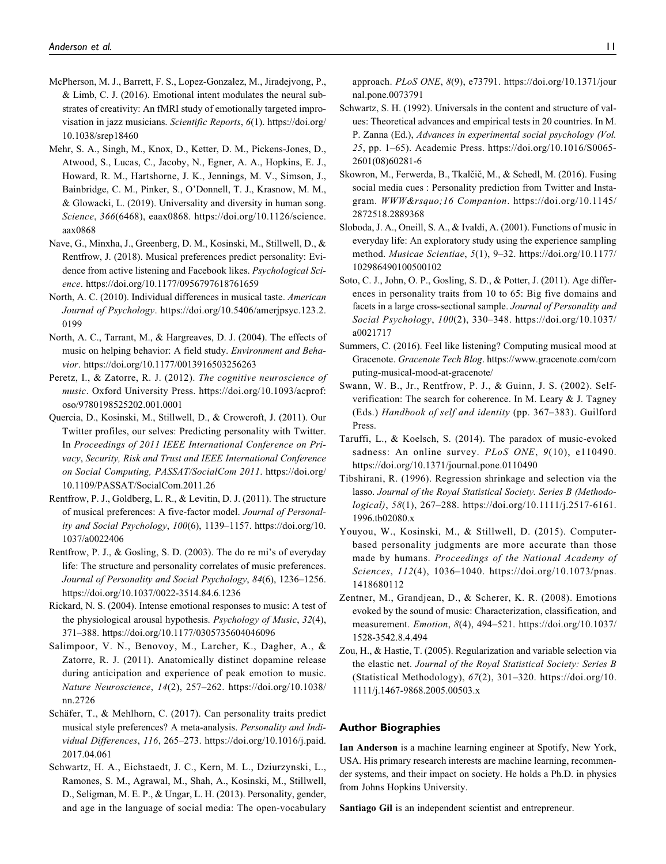- McPherson, M. J., Barrett, F. S., Lopez-Gonzalez, M., Jiradejvong, P., & Limb, C. J. (2016). Emotional intent modulates the neural substrates of creativity: An fMRI study of emotionally targeted improvisation in jazz musicians. *Scientific Reports*, *6*(1). https://doi.org/ 10.1038/srep18460
- Mehr, S. A., Singh, M., Knox, D., Ketter, D. M., Pickens-Jones, D., Atwood, S., Lucas, C., Jacoby, N., Egner, A. A., Hopkins, E. J., Howard, R. M., Hartshorne, J. K., Jennings, M. V., Simson, J., Bainbridge, C. M., Pinker, S., O'Donnell, T. J., Krasnow, M. M., & Glowacki, L. (2019). Universality and diversity in human song. *Science*, *366*(6468), eaax0868. https://doi.org/10.1126/science. aax0868
- Nave, G., Minxha, J., Greenberg, D. M., Kosinski, M., Stillwell, D., & Rentfrow, J. (2018). Musical preferences predict personality: Evidence from active listening and Facebook likes. *Psychological Science*. https://doi.org/10.1177/0956797618761659
- North, A. C. (2010). Individual differences in musical taste. *American Journal of Psychology*. https://doi.org/10.5406/amerjpsyc.123.2. 0199
- North, A. C., Tarrant, M., & Hargreaves, D. J. (2004). The effects of music on helping behavior: A field study. *Environment and Behavior*. https://doi.org/10.1177/0013916503256263
- Peretz, I., & Zatorre, R. J. (2012). *The cognitive neuroscience of music*. Oxford University Press. https://doi.org/10.1093/acprof: oso/9780198525202.001.0001
- Quercia, D., Kosinski, M., Stillwell, D., & Crowcroft, J. (2011). Our Twitter profiles, our selves: Predicting personality with Twitter. In *Proceedings of 2011 IEEE International Conference on Privacy*, *Security, Risk and Trust and IEEE International Conference on Social Computing, PASSAT/SocialCom 2011*. https://doi.org/ 10.1109/PASSAT/SocialCom.2011.26
- Rentfrow, P. J., Goldberg, L. R., & Levitin, D. J. (2011). The structure of musical preferences: A five-factor model. *Journal of Personality and Social Psychology*, *100*(6), 1139–1157. https://doi.org/10. 1037/a0022406
- Rentfrow, P. J., & Gosling, S. D. (2003). The do re mi's of everyday life: The structure and personality correlates of music preferences. *Journal of Personality and Social Psychology*, *84*(6), 1236–1256. https://doi.org/10.1037/0022-3514.84.6.1236
- Rickard, N. S. (2004). Intense emotional responses to music: A test of the physiological arousal hypothesis. *Psychology of Music*, *32*(4), 371–388. https://doi.org/10.1177/0305735604046096
- Salimpoor, V. N., Benovoy, M., Larcher, K., Dagher, A., & Zatorre, R. J. (2011). Anatomically distinct dopamine release during anticipation and experience of peak emotion to music. *Nature Neuroscience*, *14*(2), 257–262. https://doi.org/10.1038/ nn.2726
- Schäfer, T., & Mehlhorn, C. (2017). Can personality traits predict musical style preferences? A meta-analysis. *Personality and Individual Differences*, *116*, 265–273. https://doi.org/10.1016/j.paid. 2017.04.061
- Schwartz, H. A., Eichstaedt, J. C., Kern, M. L., Dziurzynski, L., Ramones, S. M., Agrawal, M., Shah, A., Kosinski, M., Stillwell, D., Seligman, M. E. P., & Ungar, L. H. (2013). Personality, gender, and age in the language of social media: The open-vocabulary

approach. *PLoS ONE*, *8*(9), e73791. https://doi.org/10.1371/jour nal.pone.0073791

- Schwartz, S. H. (1992). Universals in the content and structure of values: Theoretical advances and empirical tests in 20 countries. In M. P. Zanna (Ed.), *Advances in experimental social psychology (Vol. 25*, pp. 1–65). Academic Press. https://doi.org/10.1016/S0065- 2601(08)60281-6
- Skowron, M., Ferwerda, B., Tkalčič, M., & Schedl, M. (2016). Fusing social media cues : Personality prediction from Twitter and Instagram. WWW' 16 Companion. https://doi.org/10.1145/ 2872518.2889368
- Sloboda, J. A., Oneill, S. A., & Ivaldi, A. (2001). Functions of music in everyday life: An exploratory study using the experience sampling method. *Musicae Scientiae*, *5*(1), 9–32. https://doi.org/10.1177/ 102986490100500102
- Soto, C. J., John, O. P., Gosling, S. D., & Potter, J. (2011). Age differences in personality traits from 10 to 65: Big five domains and facets in a large cross-sectional sample. *Journal of Personality and Social Psychology*, *100*(2), 330–348. https://doi.org/10.1037/ a0021717
- Summers, C. (2016). Feel like listening? Computing musical mood at Gracenote. *Gracenote Tech Blog*. https://www.gracenote.com/com puting-musical-mood-at-gracenote/
- Swann, W. B., Jr., Rentfrow, P. J., & Guinn, J. S. (2002). Selfverification: The search for coherence. In M. Leary & J. Tagney (Eds.) *Handbook of self and identity* (pp. 367–383). Guilford Press.
- Taruffi, L., & Koelsch, S. (2014). The paradox of music-evoked sadness: An online survey. *PLoS ONE*, *9*(10), e110490. https://doi.org/10.1371/journal.pone.0110490
- Tibshirani, R. (1996). Regression shrinkage and selection via the lasso. *Journal of the Royal Statistical Society. Series B (Methodological)*, *58*(1), 267–288. https://doi.org/10.1111/j.2517-6161. 1996.tb02080.x
- Youyou, W., Kosinski, M., & Stillwell, D. (2015). Computerbased personality judgments are more accurate than those made by humans. *Proceedings of the National Academy of Sciences*, *112*(4), 1036–1040. https://doi.org/10.1073/pnas. 1418680112
- Zentner, M., Grandjean, D., & Scherer, K. R. (2008). Emotions evoked by the sound of music: Characterization, classification, and measurement. *Emotion*, *8*(4), 494–521. https://doi.org/10.1037/ 1528-3542.8.4.494
- Zou, H., & Hastie, T. (2005). Regularization and variable selection via the elastic net. *Journal of the Royal Statistical Society: Series B* (Statistical Methodology), *67*(2), 301–320. https://doi.org/10. 1111/j.1467-9868.2005.00503.x

### Author Biographies

Ian Anderson is a machine learning engineer at Spotify, New York, USA. His primary research interests are machine learning, recommender systems, and their impact on society. He holds a Ph.D. in physics from Johns Hopkins University.

Santiago Gil is an independent scientist and entrepreneur.